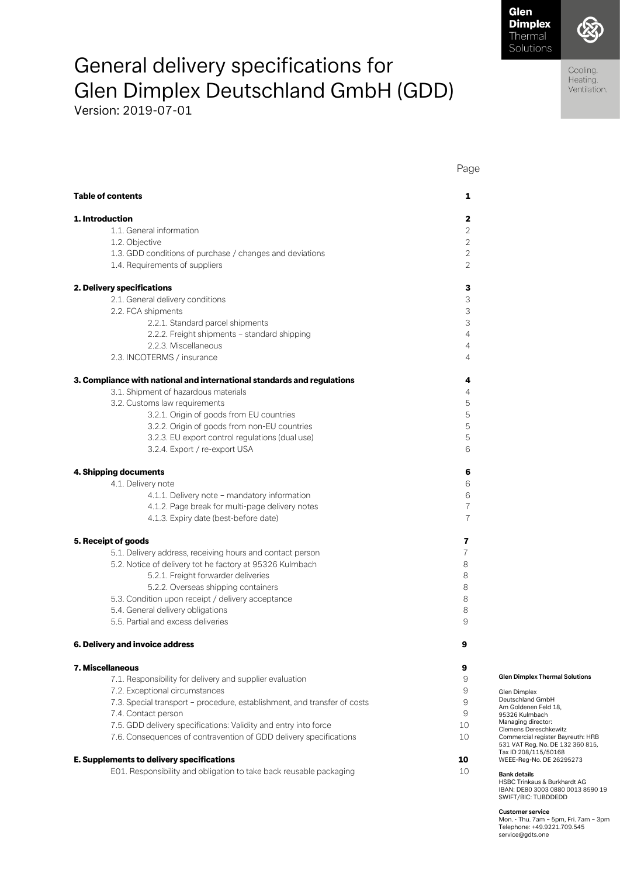Page

Cooling. Heating. Ventilation.

# General delivery specifications for Glen Dimplex Deutschland GmbH (GDD)

Version: 2019-07-01

| <b>Table of contents</b>                                                               | 1              |                                                                                                                 |
|----------------------------------------------------------------------------------------|----------------|-----------------------------------------------------------------------------------------------------------------|
| 1. Introduction                                                                        | 2              |                                                                                                                 |
| 1.1. General information                                                               | 2              |                                                                                                                 |
| 1.2. Objective                                                                         | $\overline{2}$ |                                                                                                                 |
| 1.3. GDD conditions of purchase / changes and deviations                               | $\overline{2}$ |                                                                                                                 |
| 1.4. Requirements of suppliers                                                         | $\overline{2}$ |                                                                                                                 |
| 2. Delivery specifications                                                             | 3              |                                                                                                                 |
| 2.1. General delivery conditions                                                       | 3              |                                                                                                                 |
| 2.2. FCA shipments                                                                     | 3              |                                                                                                                 |
| 2.2.1. Standard parcel shipments                                                       | 3              |                                                                                                                 |
| 2.2.2. Freight shipments - standard shipping                                           | $\overline{4}$ |                                                                                                                 |
| 2.2.3. Miscellaneous                                                                   | 4              |                                                                                                                 |
| 2.3. INCOTERMS / insurance                                                             | 4              |                                                                                                                 |
| 3. Compliance with national and international standards and regulations                | 4              |                                                                                                                 |
| 3.1. Shipment of hazardous materials                                                   | 4              |                                                                                                                 |
| 3.2. Customs law requirements                                                          | 5              |                                                                                                                 |
| 3.2.1. Origin of goods from EU countries                                               | 5              |                                                                                                                 |
| 3.2.2. Origin of goods from non-EU countries                                           | 5              |                                                                                                                 |
| 3.2.3. EU export control regulations (dual use)                                        | 5              |                                                                                                                 |
| 3.2.4. Export / re-export USA                                                          | 6              |                                                                                                                 |
| 4. Shipping documents                                                                  | 6              |                                                                                                                 |
| 4.1. Delivery note                                                                     | 6              |                                                                                                                 |
| 4.1.1. Delivery note - mandatory information                                           | 6              |                                                                                                                 |
| 4.1.2. Page break for multi-page delivery notes                                        | $\overline{7}$ |                                                                                                                 |
| 4.1.3. Expiry date (best-before date)                                                  | $\overline{7}$ |                                                                                                                 |
| 5. Receipt of goods                                                                    | 7              |                                                                                                                 |
| 5.1. Delivery address, receiving hours and contact person                              | 7              |                                                                                                                 |
| 5.2. Notice of delivery tot he factory at 95326 Kulmbach                               | 8              |                                                                                                                 |
| 5.2.1. Freight forwarder deliveries                                                    | 8              |                                                                                                                 |
| 5.2.2. Overseas shipping containers                                                    | 8              |                                                                                                                 |
| 5.3. Condition upon receipt / delivery acceptance                                      | 8              |                                                                                                                 |
| 5.4. General delivery obligations                                                      | 8              |                                                                                                                 |
| 5.5. Partial and excess deliveries                                                     | 9              |                                                                                                                 |
| 6. Delivery and invoice address                                                        |                |                                                                                                                 |
| 7. Miscellaneous                                                                       | 9              |                                                                                                                 |
| 7.1. Responsibility for delivery and supplier evaluation                               | 9              | <b>Glen Dimplex Thermal Solutions</b>                                                                           |
| 7.2. Exceptional circumstances                                                         | 9              |                                                                                                                 |
| 7.3. Special transport - procedure, establishment, and transfer of costs               | 9              | Glen Dimplex<br>Deutschland GmbH                                                                                |
|                                                                                        |                | Am Goldenen Feld 18,                                                                                            |
| 7.4. Contact person<br>7.5. GDD delivery specifications: Validity and entry into force | 9<br>10        | 95326 Kulmbach<br>Managing director:                                                                            |
|                                                                                        |                | Clemens Dereschkewitz                                                                                           |
| 7.6. Consequences of contravention of GDD delivery specifications                      | 10             | Commercial register Bayreuth: HRB<br>531 VAT Reg. No. DE 132 360 815,<br>Tax ID 208/115/50168                   |
| E. Supplements to delivery specifications                                              | 10             | WEEE-Reg-No. DE 26295273                                                                                        |
| E01. Responsibility and obligation to take back reusable packaging                     | 10             | <b>Bank details</b><br>HSBC Trinkaus & Burkhardt AG<br>IBAN: DE80 3003 0880 0013 8590 19<br>SWIFT/BIC: TUBDDEDD |

**Customer service**  Mon. - Thu. 7am – 5pm, Fri. 7am – 3pm Telephone: +49.9221.709.545 service@gdts.one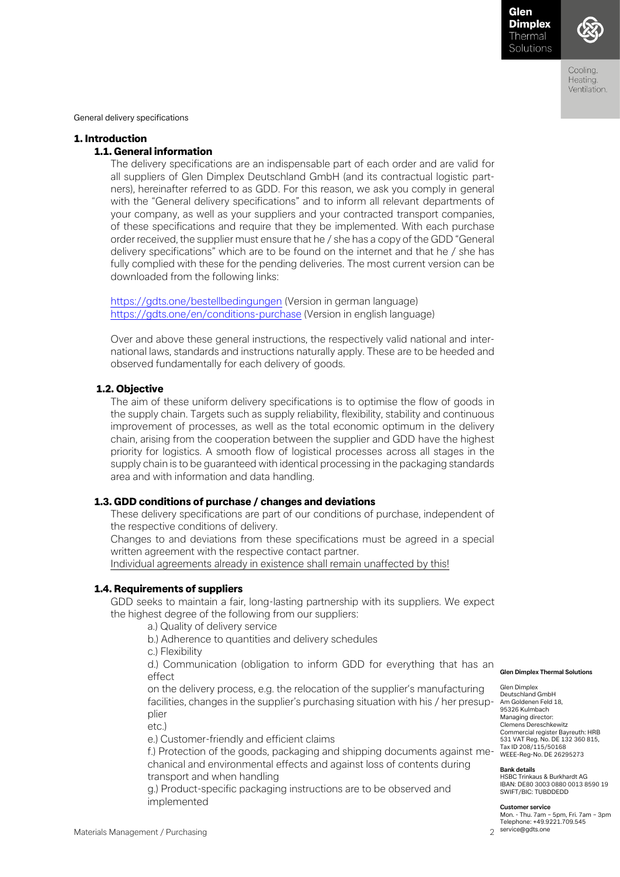

Coolina Heating. Ventilation.

General delivery specifications

#### 1. Introduction

#### 1.1. General information

The delivery specifications are an indispensable part of each order and are valid for all suppliers of Glen Dimplex Deutschland GmbH (and its contractual logistic partners), hereinafter referred to as GDD. For this reason, we ask you comply in general with the "General delivery specifications" and to inform all relevant departments of your company, as well as your suppliers and your contracted transport companies, of these specifications and require that they be implemented. With each purchase order received, the supplier must ensure that he / she has a copy of the GDD "General delivery specifications" which are to be found on the internet and that he / she has fully complied with these for the pending deliveries. The most current version can be downloaded from the following links:

<https://gdts.one/bestellbedingungen> (Version in german language) <https://gdts.one/en/conditions-purchase> (Version in english language)

Over and above these general instructions, the respectively valid national and international laws, standards and instructions naturally apply. These are to be heeded and observed fundamentally for each delivery of goods.

#### 1.2. Objective

The aim of these uniform delivery specifications is to optimise the flow of goods in the supply chain. Targets such as supply reliability, flexibility, stability and continuous improvement of processes, as well as the total economic optimum in the delivery chain, arising from the cooperation between the supplier and GDD have the highest priority for logistics. A smooth flow of logistical processes across all stages in the supply chain is to be guaranteed with identical processing in the packaging standards area and with information and data handling.

#### 1.3. GDD conditions of purchase / changes and deviations

These delivery specifications are part of our conditions of purchase, independent of the respective conditions of delivery.

Changes to and deviations from these specifications must be agreed in a special written agreement with the respective contact partner.

Individual agreements already in existence shall remain unaffected by this!

#### 1.4. Requirements of suppliers

GDD seeks to maintain a fair, long-lasting partnership with its suppliers. We expect the highest degree of the following from our suppliers:

a.) Quality of delivery service

b.) Adherence to quantities and delivery schedules

c.) Flexibility

d.) Communication (obligation to inform GDD for everything that has an effect

facilities, changes in the supplier's purchasing situation with his / her presup- Am Goldenen Feld 18, on the delivery process, e.g. the relocation of the supplier's manufacturing plier

etc.)

e.) Customer-friendly and efficient claims

f.) Protection of the goods, packaging and shipping documents against me- Tax ID 208/115/50168 chanical and environmental effects and against loss of contents during transport and when handling

g.) Product-specific packaging instructions are to be observed and implemented

**Glen Dimplex Thermal Solutions** 

Glen Dimplex Deutschland GmbH 95326 Kulmbach Managing director: Clemens Dereschkewitz Commercial register Bayreuth: HRB 531 VAT Reg. No. DE 132 360 815,

#### **Bank details**

HSBC Trinkaus & Burkhardt AG IBAN: DE80 3003 0880 0013 8590 19 SWIFT/BIC: TUBDDEDD

#### **Customer service**

Mon. - Thu. 7am – 5pm, Fri. 7am – 3pm Telephone: +49.9221.709.545 service@gdts.one

Materials Management / Purchasing 2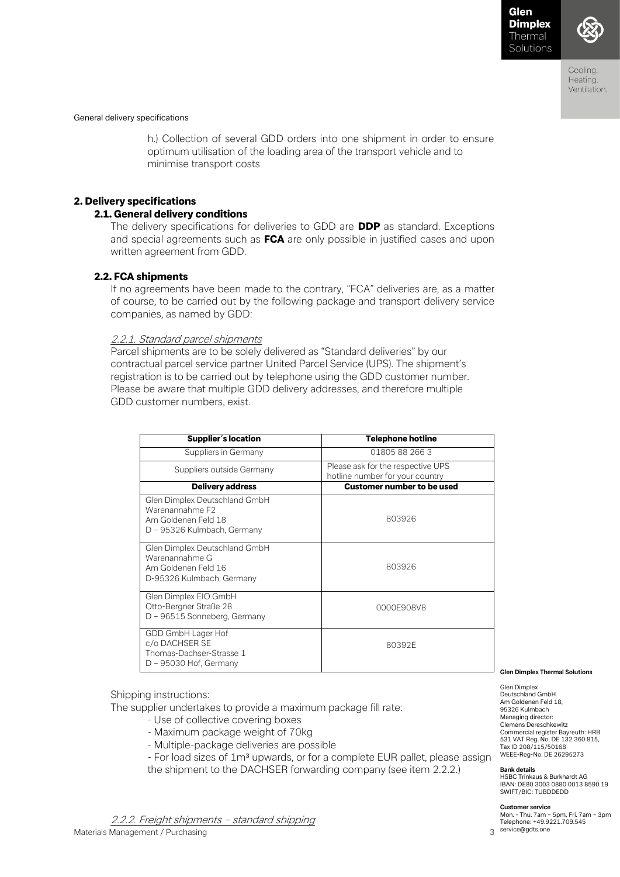

General delivery specifications

h.) Collection of several GDD orders into one shipment in order to ensure optimum utilisation of the loading area of the transport vehicle and to minimise transport costs

### 2. Delivery specifications

### 2.1. General delivery conditions

The delivery specifications for deliveries to GDD are **DDP** as standard. Exceptions and special agreements such as **FCA** are only possible in justified cases and upon written agreement from GDD.

### 2.2. FCA shipments

If no agreements have been made to the contrary, "FCA" deliveries are, as a matter of course, to be carried out by the following package and transport delivery service companies, as named by GDD:

#### 2.2.1. Standard parcel shipments

Parcel shipments are to be solely delivered as "Standard deliveries" by our contractual parcel service partner United Parcel Service (UPS). The shipment's registration is to be carried out by telephone using the GDD customer number. Please be aware that multiple GDD delivery addresses, and therefore multiple GDD customer numbers, exist.

| Supplier's location                                                                                    | <b>Telephone hotline</b>                                             |
|--------------------------------------------------------------------------------------------------------|----------------------------------------------------------------------|
| Suppliers in Germany                                                                                   | 01805882663                                                          |
| Suppliers outside Germany                                                                              | Please ask for the respective UPS<br>hotline number for your country |
| <b>Delivery address</b>                                                                                | <b>Customer number to be used</b>                                    |
| Glen Dimplex Deutschland GmbH<br>Warenannahme F2<br>Am Goldenen Feld 18<br>D - 95326 Kulmbach, Germany | 803926                                                               |
| Glen Dimplex Deutschland GmbH<br>Warenannahme G<br>Am Goldenen Feld 16<br>D-95326 Kulmbach, Germany    | 803926                                                               |
| Glen Dimplex EIO GmbH<br>Otto-Bergner Straße 28<br>D - 96515 Sonneberg, Germany                        | 0000E908V8                                                           |
| GDD GmbH Lager Hof<br>c/o DACHSER SE<br>Thomas-Dachser-Strasse 1<br>D - 95030 Hof, Germany             | 80392E                                                               |

Shipping instructions:

The supplier undertakes to provide a maximum package fill rate:

- Use of collective covering boxes
- Maximum package weight of 70kg
- Multiple-package deliveries are possible
- For load sizes of 1m<sup>3</sup> upwards, or for a complete EUR pallet, please assign the shipment to the DACHSER forwarding company (see item 2.2.2.)

Materials Management / Purchasing 3 2.2.2. Freight shipments – standard shipping

Glen Dimplex Deutschland GmbH Am Goldenen Feld 18,

95326 Kulmbach Managing director: Clemens Dereschkewitz Commercial register Bayreuth: HRB 531 VAT Reg. No. DE 132 360 815, Tax ID 208/115/50168 WEEE-Reg-No. DE 26295273

#### **Bank details**

HSBC Trinkaus & Burkhardt AG IBAN: DE80 3003 0880 0013 8590 19 SWIFT/BIC: TUBDDEDD

#### **Customer service**

Mon. - Thu. 7am – 5pm, Fri. 7am – 3pm Telephone: +49.9221.709.545 service@gdts.one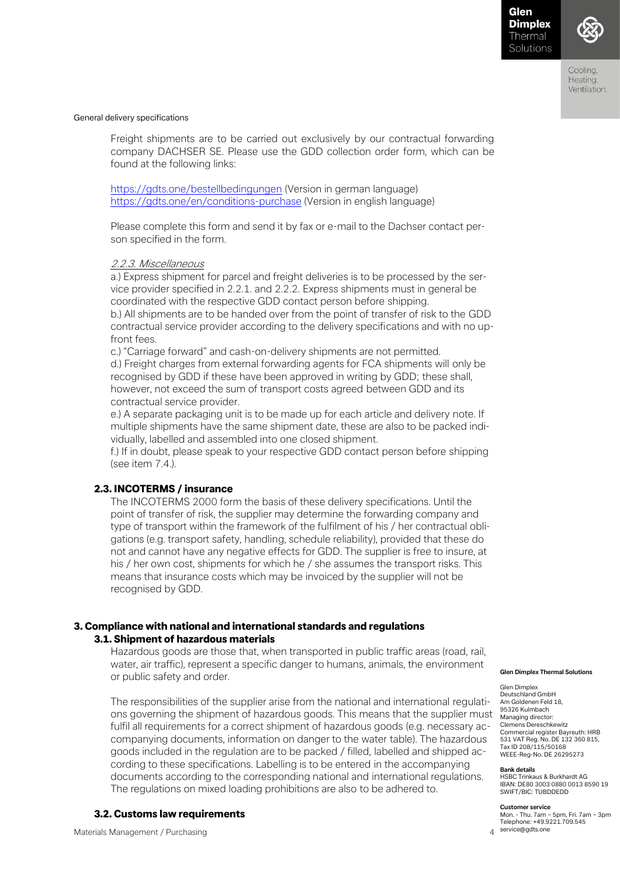

Coolina Heating. Ventilation.

### General delivery specifications

Freight shipments are to be carried out exclusively by our contractual forwarding company DACHSER SE. Please use the GDD collection order form, which can be found at the following links:

<https://gdts.one/bestellbedingungen> (Version in german language) <https://gdts.one/en/conditions-purchase> (Version in english language)

Please complete this form and send it by fax or e-mail to the Dachser contact person specified in the form.

### 2.2.3. Miscellaneous

a.) Express shipment for parcel and freight deliveries is to be processed by the service provider specified in 2.2.1. and 2.2.2. Express shipments must in general be coordinated with the respective GDD contact person before shipping.

b.) All shipments are to be handed over from the point of transfer of risk to the GDD contractual service provider according to the delivery specifications and with no upfront fees.

c.) "Carriage forward" and cash-on-delivery shipments are not permitted. d.) Freight charges from external forwarding agents for FCA shipments will only be recognised by GDD if these have been approved in writing by GDD; these shall, however, not exceed the sum of transport costs agreed between GDD and its contractual service provider.

e.) A separate packaging unit is to be made up for each article and delivery note. If multiple shipments have the same shipment date, these are also to be packed individually, labelled and assembled into one closed shipment.

f.) If in doubt, please speak to your respective GDD contact person before shipping (see item 7.4.).

### 2.3. INCOTERMS / insurance

The INCOTERMS 2000 form the basis of these delivery specifications. Until the point of transfer of risk, the supplier may determine the forwarding company and type of transport within the framework of the fulfilment of his / her contractual obligations (e.g. transport safety, handling, schedule reliability), provided that these do not and cannot have any negative effects for GDD. The supplier is free to insure, at his / her own cost, shipments for which he / she assumes the transport risks. This means that insurance costs which may be invoiced by the supplier will not be recognised by GDD.

### 3. Compliance with national and international standards and regulations 3.1. Shipment of hazardous materials

Hazardous goods are those that, when transported in public traffic areas (road, rail, water, air traffic), represent a specific danger to humans, animals, the environment or public safety and order.

The responsibilities of the supplier arise from the national and international regulations governing the shipment of hazardous goods. This means that the supplier must fulfil all requirements for a correct shipment of hazardous goods (e.g. necessary accompanying documents, information on danger to the water table). The hazardous goods included in the regulation are to be packed / filled, labelled and shipped according to these specifications. Labelling is to be entered in the accompanying documents according to the corresponding national and international regulations. The regulations on mixed loading prohibitions are also to be adhered to.

### 3.2. Customs law requirements

Materials Management / Purchasing 4

#### **Glen Dimplex Thermal Solutions**

Glen Dimplex Deutschland GmbH Am Goldenen Feld 18, 95326 Kulmbach Managing director: Clemens Dereschkewitz Commercial register Bayreuth: HRB 531 VAT Reg. No. DE 132 360 815, Tax ID 208/115/50168 WEEE-Reg-No. DE 26295273

#### **Bank details**

HSBC Trinkaus & Burkhardt AG IBAN: DE80 3003 0880 0013 8590 19 SWIFT/BIC: TUBDDEDD

#### **Customer service**

Mon. - Thu. 7am – 5pm, Fri. 7am – 3pm Telephone: +49.9221.709.545 service@gdts.one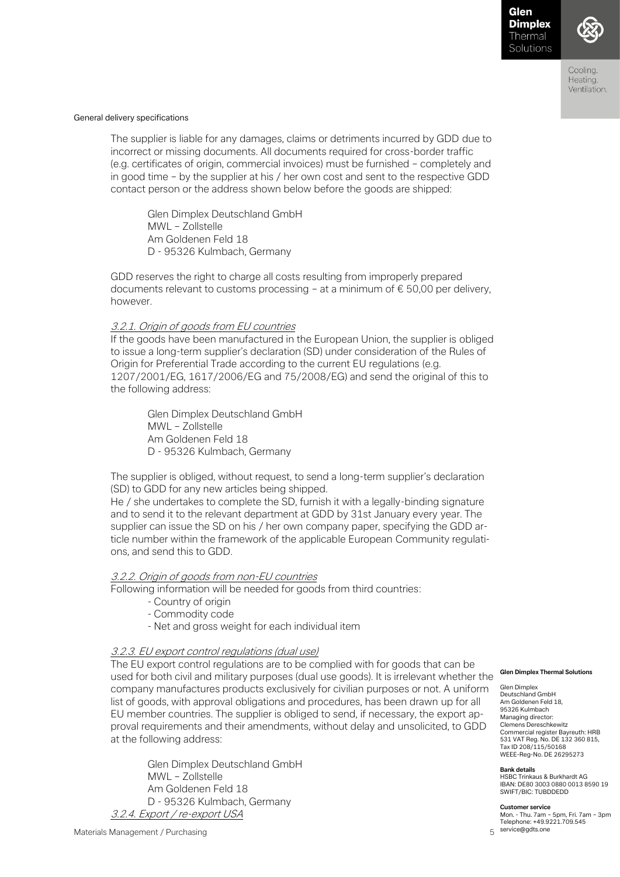

Coolina Heating. Ventilation.

### General delivery specifications

The supplier is liable for any damages, claims or detriments incurred by GDD due to incorrect or missing documents. All documents required for cross-border traffic (e.g. certificates of origin, commercial invoices) must be furnished – completely and in good time – by the supplier at his / her own cost and sent to the respective GDD contact person or the address shown below before the goods are shipped:

Glen Dimplex Deutschland GmbH MWL – Zollstelle Am Goldenen Feld 18 D - 95326 Kulmbach, Germany

GDD reserves the right to charge all costs resulting from improperly prepared documents relevant to customs processing – at a minimum of  $\epsilon$  50,00 per delivery, however.

### 3.2.1. Origin of goods from EU countries

If the goods have been manufactured in the European Union, the supplier is obliged to issue a long-term supplier's declaration (SD) under consideration of the Rules of Origin for Preferential Trade according to the current EU regulations (e.g. 1207/2001/EG, 1617/2006/EG and 75/2008/EG) and send the original of this to the following address:

Glen Dimplex Deutschland GmbH MWL – Zollstelle Am Goldenen Feld 18 D - 95326 Kulmbach, Germany

The supplier is obliged, without request, to send a long-term supplier's declaration (SD) to GDD for any new articles being shipped.

He / she undertakes to complete the SD, furnish it with a legally-binding signature and to send it to the relevant department at GDD by 31st January every year. The supplier can issue the SD on his / her own company paper, specifying the GDD article number within the framework of the applicable European Community regulations, and send this to GDD.

### 3.2.2. Origin of goods from non-EU countries

Following information will be needed for goods from third countries:

- Country of origin
- Commodity code
- Net and gross weight for each individual item

### 3.2.3. EU export control regulations (dual use)

The EU export control regulations are to be complied with for goods that can be used for both civil and military purposes (dual use goods). It is irrelevant whether the company manufactures products exclusively for civilian purposes or not. A uniform list of goods, with approval obligations and procedures, has been drawn up for all EU member countries. The supplier is obliged to send, if necessary, the export approval requirements and their amendments, without delay and unsolicited, to GDD at the following address:

Glen Dimplex Deutschland GmbH MWL – Zollstelle Am Goldenen Feld 18 D - 95326 Kulmbach, Germany 3.2.4. Export / re-export USA

#### **Glen Dimplex Thermal Solutions**

Glen Dimplex Deutschland GmbH Am Goldenen Feld 18, 95326 Kulmbach Managing director: Clemens Dereschkewitz Commercial register Bayreuth: HRB 531 VAT Reg. No. DE 132 360 815, Tax ID 208/115/50168 WEEE-Reg-No. DE 26295273

**Bank details**

HSBC Trinkaus & Burkhardt AG IBAN: DE80 3003 0880 0013 8590 19 SWIFT/BIC: TUBDDEDD

#### **Customer service**

Mon. - Thu. 7am – 5pm, Fri. 7am – 3pm Telephone: +49.9221.709.545 service@gdts.one

Materials Management / Purchasing 5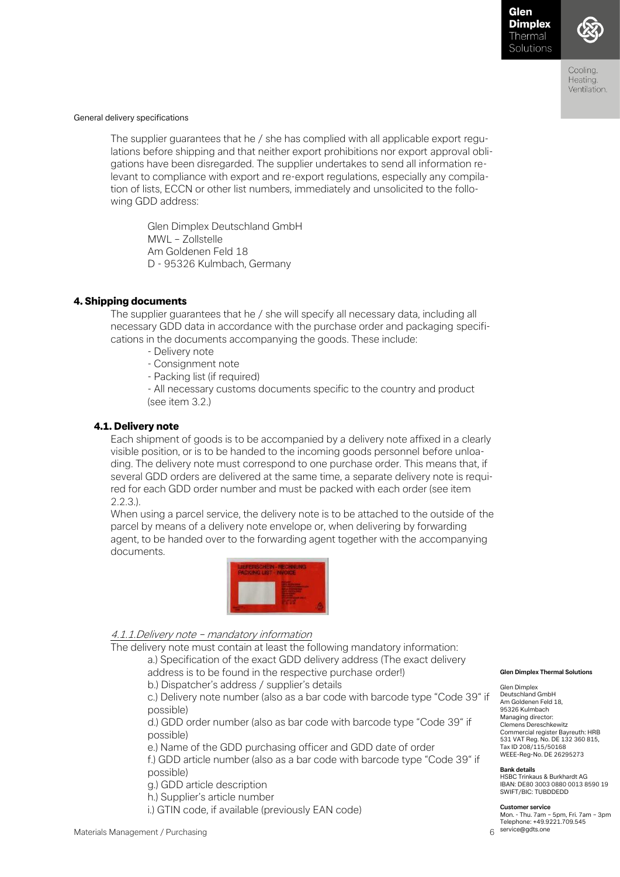

Coolina Heating. Ventilation.

### General delivery specifications

The supplier guarantees that he / she has complied with all applicable export regulations before shipping and that neither export prohibitions nor export approval obligations have been disregarded. The supplier undertakes to send all information relevant to compliance with export and re-export regulations, especially any compilation of lists, ECCN or other list numbers, immediately and unsolicited to the following GDD address:

Glen Dimplex Deutschland GmbH MWL – Zollstelle Am Goldenen Feld 18 D - 95326 Kulmbach, Germany

#### 4. Shipping documents

The supplier guarantees that he / she will specify all necessary data, including all necessary GDD data in accordance with the purchase order and packaging specifications in the documents accompanying the goods. These include:

- Delivery note
- Consignment note
- Packing list (if required)
- All necessary customs documents specific to the country and product (see item 3.2.)

#### 4.1. Delivery note

Each shipment of goods is to be accompanied by a delivery note affixed in a clearly visible position, or is to be handed to the incoming goods personnel before unloading. The delivery note must correspond to one purchase order. This means that, if several GDD orders are delivered at the same time, a separate delivery note is required for each GDD order number and must be packed with each order (see item 2.2.3.).

When using a parcel service, the delivery note is to be attached to the outside of the parcel by means of a delivery note envelope or, when delivering by forwarding agent, to be handed over to the forwarding agent together with the accompanying documents.



### 4.1.1.Delivery note – mandatory information

The delivery note must contain at least the following mandatory information:

a.) Specification of the exact GDD delivery address (The exact delivery address is to be found in the respective purchase order!)

b.) Dispatcher's address / supplier's details

c.) Delivery note number (also as a bar code with barcode type "Code 39" if possible)

d.) GDD order number (also as bar code with barcode type "Code 39" if possible)

e.) Name of the GDD purchasing officer and GDD date of order

f.) GDD article number (also as a bar code with barcode type "Code 39" if possible)

g.) GDD article description

h.) Supplier's article number

i.) GTIN code, if available (previously EAN code)

#### **Glen Dimplex Thermal Solutions**

Glen Dimplex Deutschland GmbH Am Goldenen Feld 18, 95326 Kulmbach Managing director: Clemens Dereschkewitz Commercial register Bayreuth: HRB 531 VAT Reg. No. DE 132 360 815, Tax ID 208/115/50168 WEEE-Reg-No. DE 26295273

#### **Bank details**

HSBC Trinkaus & Burkhardt AG IBAN: DE80 3003 0880 0013 8590 19 SWIFT/BIC: TUBDDEDD

#### **Customer service**

Mon. - Thu. 7am – 5pm, Fri. 7am – 3pm Telephone: +49.9221.709.545 service@gdts.one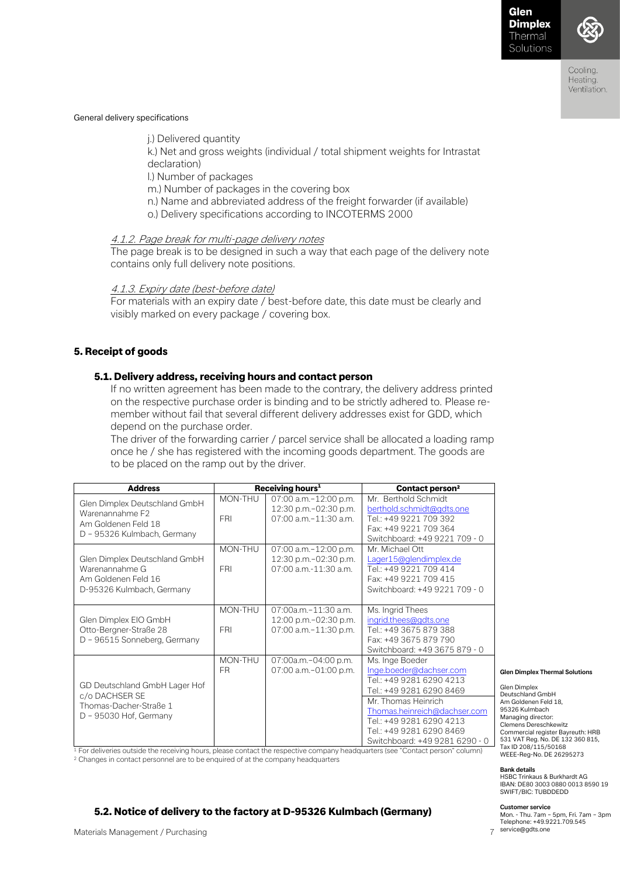

Coolina Heating. Ventilation.

### General delivery specifications

j.) Delivered quantity k.) Net and gross weights (individual / total shipment weights for Intrastat declaration) l.) Number of packages m.) Number of packages in the covering box n.) Name and abbreviated address of the freight forwarder (if available) o.) Delivery specifications according to INCOTERMS 2000

### 4.1.2. Page break for multi-page delivery notes

The page break is to be designed in such a way that each page of the delivery note contains only full delivery note positions.

# 4.1.3. Expiry date (best-before date)

For materials with an expiry date / best-before date, this date must be clearly and visibly marked on every package / covering box.

# 5. Receipt of goods

### 5.1. Delivery address, receiving hours and contact person

If no written agreement has been made to the contrary, the delivery address printed on the respective purchase order is binding and to be strictly adhered to. Please remember without fail that several different delivery addresses exist for GDD, which depend on the purchase order.

The driver of the forwarding carrier / parcel service shall be allocated a loading ramp once he / she has registered with the incoming goods department. The goods are to be placed on the ramp out by the driver.

| <b>Address</b>                                                                                                                                                   | Receiving hours <sup>1</sup> |                                                                          | Contact person <sup>2</sup>                                                                                                                                                                                                                         |                                                                                                                                                                                                                                                                            |
|------------------------------------------------------------------------------------------------------------------------------------------------------------------|------------------------------|--------------------------------------------------------------------------|-----------------------------------------------------------------------------------------------------------------------------------------------------------------------------------------------------------------------------------------------------|----------------------------------------------------------------------------------------------------------------------------------------------------------------------------------------------------------------------------------------------------------------------------|
| Glen Dimplex Deutschland GmbH<br>Warenannahme F2<br>Am Goldenen Feld 18<br>D - 95326 Kulmbach, Germany                                                           | MON-THU<br><b>FRI</b>        | 07:00 a.m.-12:00 p.m.<br>12:30 p.m.-02:30 p.m.<br>07:00 a.m.-11:30 a.m.  | Mr. Berthold Schmidt<br>berthold.schmidt@gdts.one<br>Tel.: +49 9221 709 392<br>Fax: +49 9221 709 364<br>Switchboard: +49 9221 709 - 0                                                                                                               |                                                                                                                                                                                                                                                                            |
| Glen Dimplex Deutschland GmbH<br>Warenannahme G<br>Am Goldenen Feld 16<br>D-95326 Kulmbach, Germany                                                              | MON-THU<br><b>FRI</b>        | 07:00 a.m.-12:00 p.m.<br>12:30 p.m.-02:30 p.m.<br>07:00 a.m.-11:30 a.m.  | Mr. Michael Ott<br>Lager15@glendimplex.de<br>Tel.: +49 9221 709 414<br>Fax: +49 9221 709 415<br>Switchboard: +49 9221 709 - 0                                                                                                                       |                                                                                                                                                                                                                                                                            |
| Glen Dimplex EIO GmbH<br>Otto-Bergner-Straße 28<br>D - 96515 Sonneberg, Germany                                                                                  | MON-THU<br><b>FRI</b>        | 07:00a.m.-11:30 a.m.<br>12:00 p.m.-02:30 p.m.<br>07:00 a.m. - 11:30 p.m. | Ms. Ingrid Thees<br>ingrid.thees@gdts.one<br>Tel.: +49 3675 879 388<br>Fax: +49 3675 879 790<br>Switchboard: +49 3675 879 - 0                                                                                                                       |                                                                                                                                                                                                                                                                            |
| GD Deutschland GmbH Lager Hof<br>c/o DACHSER SE<br>Thomas-Dacher-Straße 1<br>D - 95030 Hof, Germany<br><b>Contract Contract Contract</b><br><b>Service State</b> | MON-THU<br><b>FR</b>         | 07:00a.m.-04:00 p.m.<br>07:00 a.m.-01:00 p.m.                            | Ms. Inge Boeder<br>Inge.boeder@dachser.com<br>Tel.: +49 9281 6290 4213<br>Tel.: +49 9281 6290 8469<br>Mr. Thomas Heinrich<br>Thomas.heinreich@dachser.com<br>Tel.: +49 9281 6290 4213<br>Tel.: +49 9281 6290 8469<br>Switchboard: +49 9281 6290 - 0 | <b>Glen Dimplex Thermal Solutions</b><br><b>Glen Dimplex</b><br>Deutschland GmbH<br>Am Goldenen Feld 18.<br>95326 Kulmbach<br>Managing director:<br>Clemens Dereschkewitz<br>Commercial register Bayreuth: HRB<br>531 VAT Reg. No. DE 132 360 815,<br>Tax ID 208/115/50168 |

<sup>1</sup> For deliveries outside the receiving hours, please contact the respective company headquarters (see "Contact person" column) <sup>2</sup> Changes in contact personnel are to be enquired of at the company headquarters

**Bank details**

HSBC Trinkaus & Burkhardt AG IBAN: DE80 3003 0880 0013 8590 19 SWIFT/BIC: TUBDDEDD

WEEE-Reg-No. DE 26295273

#### **Customer service**

Mon. - Thu. 7am – 5pm, Fri. 7am – 3pm Telephone: +49.9221.709.545 service@gdts.one

### 5.2. Notice of delivery to the factory at D-95326 Kulmbach (Germany)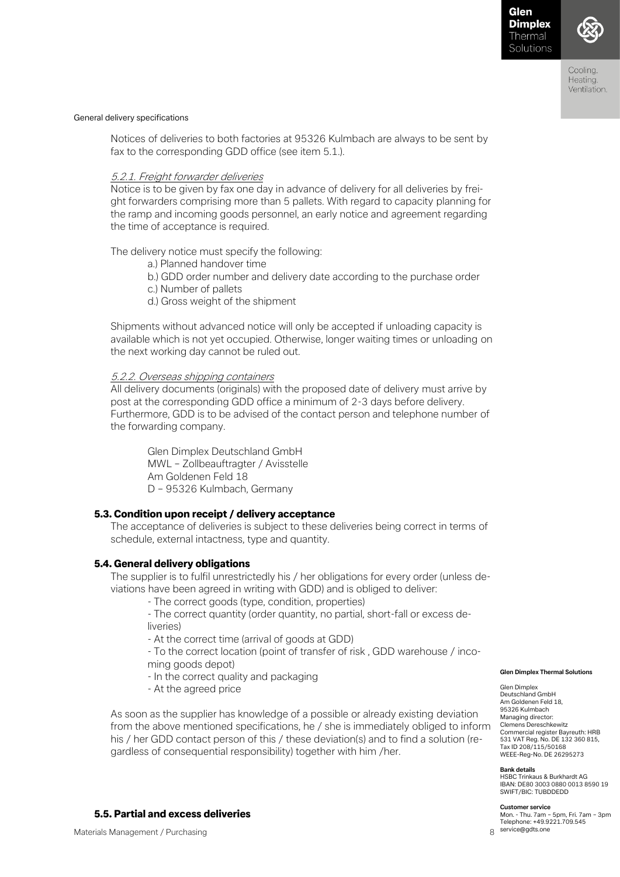

Coolina Heating. Ventilation.

#### General delivery specifications

Notices of deliveries to both factories at 95326 Kulmbach are always to be sent by fax to the corresponding GDD office (see item 5.1.).

#### 5.2.1. Freight forwarder deliveries

Notice is to be given by fax one day in advance of delivery for all deliveries by freight forwarders comprising more than 5 pallets. With regard to capacity planning for the ramp and incoming goods personnel, an early notice and agreement regarding the time of acceptance is required.

The delivery notice must specify the following:

- a.) Planned handover time
- b.) GDD order number and delivery date according to the purchase order
- c.) Number of pallets

d.) Gross weight of the shipment

Shipments without advanced notice will only be accepted if unloading capacity is available which is not yet occupied. Otherwise, longer waiting times or unloading on the next working day cannot be ruled out.

#### 5.2.2. Overseas shipping containers

All delivery documents (originals) with the proposed date of delivery must arrive by post at the corresponding GDD office a minimum of 2-3 days before delivery. Furthermore, GDD is to be advised of the contact person and telephone number of the forwarding company.

Glen Dimplex Deutschland GmbH MWL – Zollbeauftragter / Avisstelle Am Goldenen Feld 18 D – 95326 Kulmbach, Germany

#### 5.3. Condition upon receipt / delivery acceptance

The acceptance of deliveries is subject to these deliveries being correct in terms of schedule, external intactness, type and quantity.

#### 5.4. General delivery obligations

The supplier is to fulfil unrestrictedly his / her obligations for every order (unless deviations have been agreed in writing with GDD) and is obliged to deliver:

- The correct goods (type, condition, properties)

- The correct quantity (order quantity, no partial, short-fall or excess deliveries)

- At the correct time (arrival of goods at GDD)

- To the correct location (point of transfer of risk , GDD warehouse / incoming goods depot)

- In the correct quality and packaging
- At the agreed price

As soon as the supplier has knowledge of a possible or already existing deviation from the above mentioned specifications, he / she is immediately obliged to inform his / her GDD contact person of this / these deviation(s) and to find a solution (regardless of consequential responsibility) together with him /her.

#### 5.5. Partial and excess deliveries

531 VAT Reg. No. DE 132 360 815, Tax ID 208/115/50168 WEEE-Reg-No. DE 26295273

**Glen Dimplex Thermal Solutions** 

#### **Bank details**

Glen Dimplex Deutschland GmbH Am Goldenen Feld 18, 95326 Kulmbach

HSBC Trinkaus & Burkhardt AG IBAN: DE80 3003 0880 0013 8590 19 SWIFT/BIC: TUBDDEDD

#### **Customer service**

Mon. - Thu. 7am – 5pm, Fri. 7am – 3pm Telephone: +49.9221.709.545 g service@gdts.one

Materials Management / Purchasing 8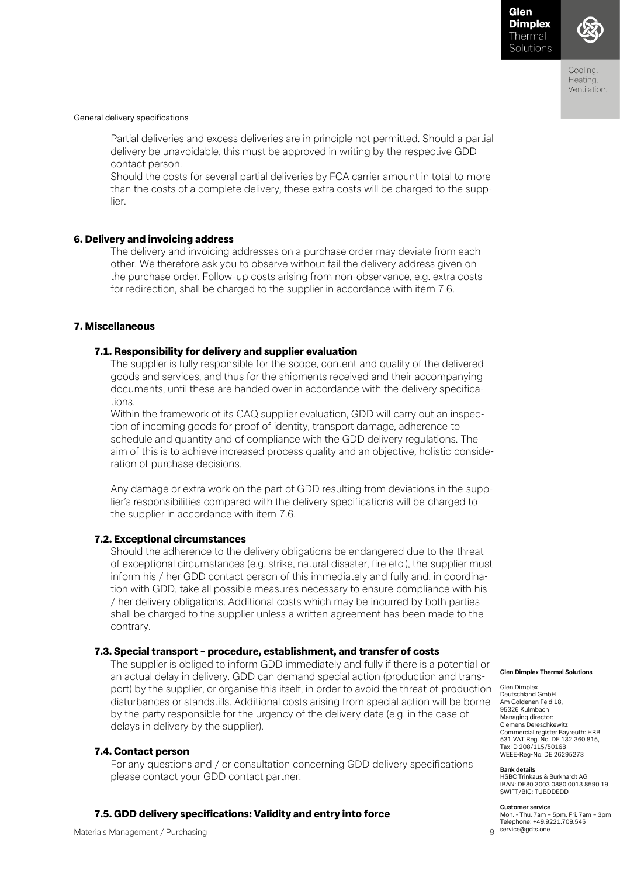

Coolina Heating. Ventilation.

#### General delivery specifications

Partial deliveries and excess deliveries are in principle not permitted. Should a partial delivery be unavoidable, this must be approved in writing by the respective GDD contact person.

Should the costs for several partial deliveries by FCA carrier amount in total to more than the costs of a complete delivery, these extra costs will be charged to the supplier.

### 6. Delivery and invoicing address

The delivery and invoicing addresses on a purchase order may deviate from each other. We therefore ask you to observe without fail the delivery address given on the purchase order. Follow-up costs arising from non-observance, e.g. extra costs for redirection, shall be charged to the supplier in accordance with item 7.6.

### 7. Miscellaneous

### 7.1. Responsibility for delivery and supplier evaluation

The supplier is fully responsible for the scope, content and quality of the delivered goods and services, and thus for the shipments received and their accompanying documents, until these are handed over in accordance with the delivery specifications.

Within the framework of its CAQ supplier evaluation, GDD will carry out an inspection of incoming goods for proof of identity, transport damage, adherence to schedule and quantity and of compliance with the GDD delivery regulations. The aim of this is to achieve increased process quality and an objective, holistic consideration of purchase decisions.

Any damage or extra work on the part of GDD resulting from deviations in the supplier's responsibilities compared with the delivery specifications will be charged to the supplier in accordance with item 7.6.

### 7.2. Exceptional circumstances

Should the adherence to the delivery obligations be endangered due to the threat of exceptional circumstances (e.g. strike, natural disaster, fire etc.), the supplier must inform his / her GDD contact person of this immediately and fully and, in coordination with GDD, take all possible measures necessary to ensure compliance with his / her delivery obligations. Additional costs which may be incurred by both parties shall be charged to the supplier unless a written agreement has been made to the contrary.

### 7.3. Special transport – procedure, establishment, and transfer of costs

The supplier is obliged to inform GDD immediately and fully if there is a potential or an actual delay in delivery. GDD can demand special action (production and transport) by the supplier, or organise this itself, in order to avoid the threat of production disturbances or standstills. Additional costs arising from special action will be borne by the party responsible for the urgency of the delivery date (e.g. in the case of delays in delivery by the supplier).

### 7.4. Contact person

For any questions and / or consultation concerning GDD delivery specifications please contact your GDD contact partner.

### 7.5. GDD delivery specifications: Validity and entry into force

**Glen Dimplex Thermal Solutions** 

Glen Dimplex Deutschland GmbH Am Goldenen Feld 18, 95326 Kulmbach Managing director: Clemens Dereschkewitz Commercial register Bayreuth: HRB 531 VAT Reg. No. DE 132 360 815, Tax ID 208/115/50168 WEEE-Reg-No. DE 26295273

#### **Bank details**

HSBC Trinkaus & Burkhardt AG IBAN: DE80 3003 0880 0013 8590 19 SWIFT/BIC: TUBDDEDD

#### **Customer service**

Mon. - Thu. 7am – 5pm, Fri. 7am – 3pm Telephone: +49.9221.709.545 service@gdts.one